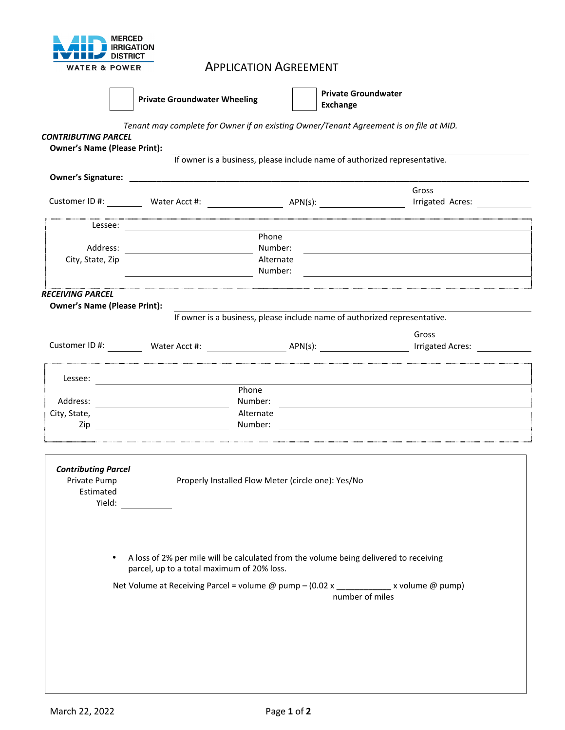|                          | <b>MERCED</b>     |
|--------------------------|-------------------|
| - 11                     | <b>IRRIGATION</b> |
| <b>THE REAL</b>          | <b>DISTRICT</b>   |
| <b>WATER &amp; POWER</b> |                   |

## APPLICATION AGREEMENT



**Private Groundwater Wheeling <b>Private Groundwater Private Groundwater Exchange** 

*Tenant may complete for Owner if an existing Owner/Tenant Agreement is on file at MID.* 

| <b>CONTRIBUTING PARCEL</b><br><b>Owner's Name (Please Print):</b> |                                            |                                                                                                                                                                                                                                      |                                                                                                                       |
|-------------------------------------------------------------------|--------------------------------------------|--------------------------------------------------------------------------------------------------------------------------------------------------------------------------------------------------------------------------------------|-----------------------------------------------------------------------------------------------------------------------|
|                                                                   |                                            | If owner is a business, please include name of authorized representative.                                                                                                                                                            |                                                                                                                       |
|                                                                   |                                            | Owner's Signature: <u>contract the contract of the contract of the contract of the contract of the contract of the contract of the contract of the contract of the contract of the contract of the contract of the contract of t</u> |                                                                                                                       |
|                                                                   |                                            |                                                                                                                                                                                                                                      | Gross                                                                                                                 |
|                                                                   |                                            |                                                                                                                                                                                                                                      | Irrigated Acres:                                                                                                      |
|                                                                   |                                            |                                                                                                                                                                                                                                      |                                                                                                                       |
|                                                                   |                                            | Phone                                                                                                                                                                                                                                |                                                                                                                       |
|                                                                   |                                            | Number:                                                                                                                                                                                                                              | <u> 1980 - Andrea Andrew Maria (h. 1980).</u>                                                                         |
| City, State, Zip                                                  |                                            | Alternate<br>Number:                                                                                                                                                                                                                 |                                                                                                                       |
|                                                                   |                                            |                                                                                                                                                                                                                                      |                                                                                                                       |
| <b>RECEIVING PARCEL</b>                                           |                                            |                                                                                                                                                                                                                                      |                                                                                                                       |
| <b>Owner's Name (Please Print):</b>                               |                                            | If owner is a business, please include name of authorized representative.                                                                                                                                                            |                                                                                                                       |
|                                                                   |                                            |                                                                                                                                                                                                                                      |                                                                                                                       |
|                                                                   |                                            |                                                                                                                                                                                                                                      | Gross                                                                                                                 |
|                                                                   |                                            |                                                                                                                                                                                                                                      |                                                                                                                       |
|                                                                   |                                            |                                                                                                                                                                                                                                      |                                                                                                                       |
|                                                                   |                                            | Phone                                                                                                                                                                                                                                |                                                                                                                       |
|                                                                   |                                            | Number:                                                                                                                                                                                                                              |                                                                                                                       |
| City, State,                                                      |                                            | Alternate                                                                                                                                                                                                                            |                                                                                                                       |
| Zip                                                               |                                            | Number:                                                                                                                                                                                                                              | <u> 1980 - Antonio Alemania, politikar esperantor estatubatuar estatubatuar estatubatuar estatubatuar estatubatua</u> |
|                                                                   |                                            |                                                                                                                                                                                                                                      |                                                                                                                       |
|                                                                   |                                            |                                                                                                                                                                                                                                      |                                                                                                                       |
| <b>Contributing Parcel</b>                                        |                                            |                                                                                                                                                                                                                                      |                                                                                                                       |
| Private Pump<br>Estimated                                         |                                            | Properly Installed Flow Meter (circle one): Yes/No                                                                                                                                                                                   |                                                                                                                       |
|                                                                   | Yield:                                     |                                                                                                                                                                                                                                      |                                                                                                                       |
|                                                                   |                                            |                                                                                                                                                                                                                                      |                                                                                                                       |
|                                                                   |                                            |                                                                                                                                                                                                                                      |                                                                                                                       |
|                                                                   |                                            |                                                                                                                                                                                                                                      |                                                                                                                       |
|                                                                   |                                            | A loss of 2% per mile will be calculated from the volume being delivered to receiving                                                                                                                                                |                                                                                                                       |
|                                                                   | parcel, up to a total maximum of 20% loss. |                                                                                                                                                                                                                                      |                                                                                                                       |
|                                                                   |                                            | Net Volume at Receiving Parcel = volume @ pump - (0.02 x ____________ x volume @ pump)                                                                                                                                               |                                                                                                                       |
|                                                                   |                                            | number of miles                                                                                                                                                                                                                      |                                                                                                                       |
|                                                                   |                                            |                                                                                                                                                                                                                                      |                                                                                                                       |
|                                                                   |                                            |                                                                                                                                                                                                                                      |                                                                                                                       |
|                                                                   |                                            |                                                                                                                                                                                                                                      |                                                                                                                       |
|                                                                   |                                            |                                                                                                                                                                                                                                      |                                                                                                                       |
|                                                                   |                                            |                                                                                                                                                                                                                                      |                                                                                                                       |
|                                                                   |                                            |                                                                                                                                                                                                                                      |                                                                                                                       |
|                                                                   |                                            |                                                                                                                                                                                                                                      |                                                                                                                       |